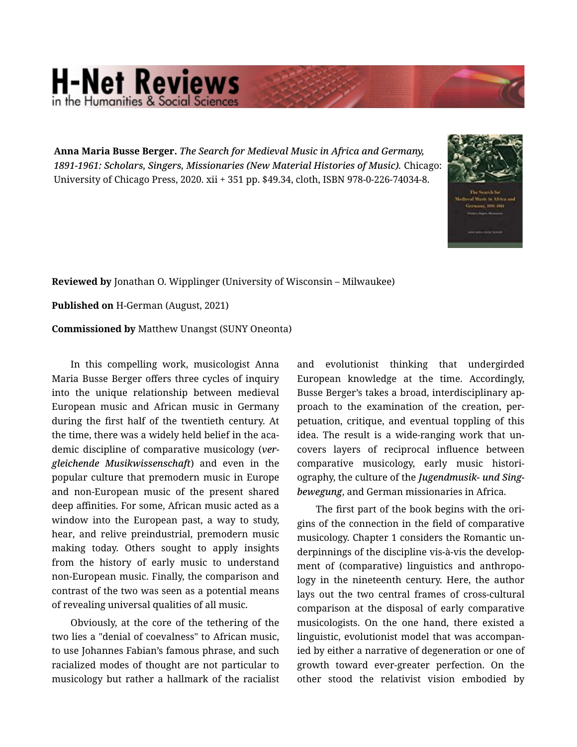## **H-Net Reviews** in the Humanities & Social Scienc

Anna Maria Busse Berger. *The Search for Medieval Music in Africa and Germany, 1891-1961: Scholars, Singers, Missionaries (New Material Histories of Music).* Chicago: University of Chicago Press, 2020. xii + 351 pp. \$49.34, cloth, ISBN 978-0-226-74034-8.



Reviewed by Jonathan O. Wipplinger (University of Wisconsin – Milwaukee)

Published on H-German (August, 2021)

Commissioned by Matthew Unangst (SUNY Oneonta)

In this compelling work, musicologist Anna Maria Busse Berger offers three cycles of inquiry into the unique relationship between medieval European music and African music in Germany during the first half of the twentieth century. At the time, there was a widely held belief in the aca‐ demic discipline of comparative musicology (*ver‐ gleichende Musikwissenschaft*) and even in the popular culture that premodern music in Europe and non-European music of the present shared deep affinities. For some, African music acted as a window into the European past, a way to study, hear, and relive preindustrial, premodern music making today. Others sought to apply insights from the history of early music to understand non-European music. Finally, the comparison and contrast of the two was seen as a potential means of revealing universal qualities of all music.

Obviously, at the core of the tethering of the two lies a "denial of coevalness" to African music, to use Johannes Fabian's famous phrase, and such racialized modes of thought are not particular to musicology but rather a hallmark of the racialist and evolutionist thinking that undergirded European knowledge at the time. Accordingly, Busse Berger's takes a broad, interdisciplinary ap‐ proach to the examination of the creation, per‐ petuation, critique, and eventual toppling of this idea. The result is a wide-ranging work that un‐ covers layers of reciprocal influence between comparative musicology, early music histori‐ ography, the culture of the *Jugendmusik- und Sing‐ bewegung*, and German missionaries in Africa.

The first part of the book begins with the ori‐ gins of the connection in the field of comparative musicology. Chapter 1 considers the Romantic un‐ derpinnings of the discipline vis-à-vis the develop‐ ment of (comparative) linguistics and anthropology in the nineteenth century. Here, the author lays out the two central frames of cross-cultural comparison at the disposal of early comparative musicologists. On the one hand, there existed a linguistic, evolutionist model that was accompan‐ ied by either a narrative of degeneration or one of growth toward ever-greater perfection. On the other stood the relativist vision embodied by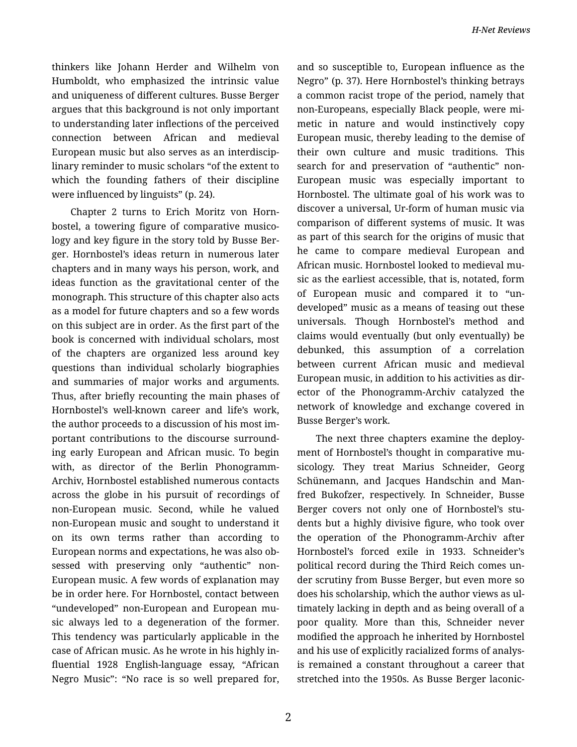thinkers like Johann Herder and Wilhelm von Humboldt, who emphasized the intrinsic value and uniqueness of different cultures. Busse Berger argues that this background is not only important to understanding later inflections of the perceived connection between African and medieval European music but also serves as an interdiscip‐ linary reminder to music scholars "of the extent to which the founding fathers of their discipline were influenced by linguists" (p. 24).

Chapter 2 turns to Erich Moritz von Horn‐ bostel, a towering figure of comparative musico‐ logy and key figure in the story told by Busse Ber‐ ger. Hornbostel's ideas return in numerous later chapters and in many ways his person, work, and ideas function as the gravitational center of the monograph. This structure of this chapter also acts as a model for future chapters and so a few words on this subject are in order. As the first part of the book is concerned with individual scholars, most of the chapters are organized less around key questions than individual scholarly biographies and summaries of major works and arguments. Thus, after briefly recounting the main phases of Hornbostel's well-known career and life's work, the author proceeds to a discussion of his most im‐ portant contributions to the discourse surround‐ ing early European and African music. To begin with, as director of the Berlin Phonogramm-Archiv, Hornbostel established numerous contacts across the globe in his pursuit of recordings of non-European music. Second, while he valued non-European music and sought to understand it on its own terms rather than according to European norms and expectations, he was also ob‐ sessed with preserving only "authentic" non-European music. A few words of explanation may be in order here. For Hornbostel, contact between "undeveloped" non-European and European mu‐ sic always led to a degeneration of the former. This tendency was particularly applicable in the case of African music. As he wrote in his highly in‐ fluential 1928 English-language essay, "African Negro Music": "No race is so well prepared for,

and so susceptible to, European influence as the Negro" (p. 37). Here Hornbostel's thinking betrays a common racist trope of the period, namely that non-Europeans, especially Black people, were mi‐ metic in nature and would instinctively copy European music, thereby leading to the demise of their own culture and music traditions. This search for and preservation of "authentic" non-European music was especially important to Hornbostel. The ultimate goal of his work was to discover a universal, Ur-form of human music via comparison of different systems of music. It was as part of this search for the origins of music that he came to compare medieval European and African music. Hornbostel looked to medieval mu‐ sic as the earliest accessible, that is, notated, form of European music and compared it to "un‐ developed" music as a means of teasing out these universals. Though Hornbostel's method and claims would eventually (but only eventually) be debunked, this assumption of a correlation between current African music and medieval European music, in addition to his activities as dir‐ ector of the Phonogramm-Archiv catalyzed the network of knowledge and exchange covered in Busse Berger's work.

The next three chapters examine the deploy‐ ment of Hornbostel's thought in comparative mu‐ sicology. They treat Marius Schneider, Georg Schünemann, and Jacques Handschin and Man‐ fred Bukofzer, respectively. In Schneider, Busse Berger covers not only one of Hornbostel's stu‐ dents but a highly divisive figure, who took over the operation of the Phonogramm-Archiv after Hornbostel's forced exile in 1933. Schneider's political record during the Third Reich comes un‐ der scrutiny from Busse Berger, but even more so does his scholarship, which the author views as ul‐ timately lacking in depth and as being overall of a poor quality. More than this, Schneider never modified the approach he inherited by Hornbostel and his use of explicitly racialized forms of analys‐ is remained a constant throughout a career that stretched into the 1950s. As Busse Berger laconic‐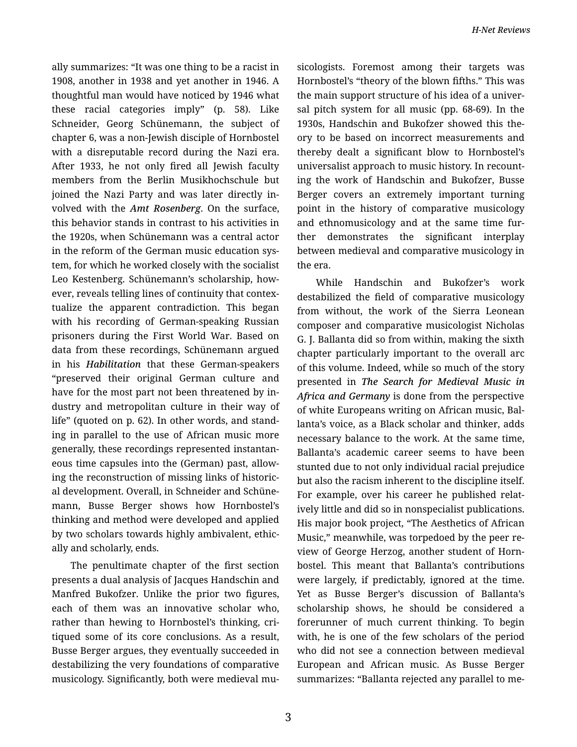ally summarizes: "It was one thing to be a racist in 1908, another in 1938 and yet another in 1946. A thoughtful man would have noticed by 1946 what these racial categories imply" (p. 58). Like Schneider, Georg Schünemann, the subject of chapter 6, was a non-Jewish disciple of Hornbostel with a disreputable record during the Nazi era. After 1933, he not only fired all Jewish faculty members from the Berlin Musikhochschule but joined the Nazi Party and was later directly in‐ volved with the *Amt Rosenberg*. On the surface, this behavior stands in contrast to his activities in the 1920s, when Schünemann was a central actor in the reform of the German music education sys‐ tem, for which he worked closely with the socialist Leo Kestenberg. Schünemann's scholarship, how‐ ever, reveals telling lines of continuity that contex‐ tualize the apparent contradiction. This began with his recording of German-speaking Russian prisoners during the First World War. Based on data from these recordings, Schünemann argued in his *Habilitation* that these German-speakers "preserved their original German culture and have for the most part not been threatened by in‐ dustry and metropolitan culture in their way of life" (quoted on p. 62). In other words, and stand‐ ing in parallel to the use of African music more generally, these recordings represented instantan‐ eous time capsules into the (German) past, allow‐ ing the reconstruction of missing links of historic‐ al development. Overall, in Schneider and Schüne‐ mann, Busse Berger shows how Hornbostel's thinking and method were developed and applied by two scholars towards highly ambivalent, ethic‐ ally and scholarly, ends.

The penultimate chapter of the first section presents a dual analysis of Jacques Handschin and Manfred Bukofzer. Unlike the prior two figures, each of them was an innovative scholar who, rather than hewing to Hornbostel's thinking, cri‐ tiqued some of its core conclusions. As a result, Busse Berger argues, they eventually succeeded in destabilizing the very foundations of comparative musicology. Significantly, both were medieval mu‐ sicologists. Foremost among their targets was Hornbostel's "theory of the blown fifths." This was the main support structure of his idea of a univer‐ sal pitch system for all music (pp. 68-69). In the 1930s, Handschin and Bukofzer showed this the‐ ory to be based on incorrect measurements and thereby dealt a significant blow to Hornbostel's universalist approach to music history. In recount‐ ing the work of Handschin and Bukofzer, Busse Berger covers an extremely important turning point in the history of comparative musicology and ethnomusicology and at the same time fur‐ ther demonstrates the significant interplay between medieval and comparative musicology in the era.

While Handschin and Bukofzer's work destabilized the field of comparative musicology from without, the work of the Sierra Leonean composer and comparative musicologist Nicholas G. J. Ballanta did so from within, making the sixth chapter particularly important to the overall arc of this volume. Indeed, while so much of the story presented in *The Search for Medieval Music in Africa and Germany* is done from the perspective of white Europeans writing on African music, Bal‐ lanta's voice, as a Black scholar and thinker, adds necessary balance to the work. At the same time, Ballanta's academic career seems to have been stunted due to not only individual racial prejudice but also the racism inherent to the discipline itself. For example, over his career he published relat‐ ively little and did so in nonspecialist publications. His major book project, "The Aesthetics of African Music," meanwhile, was torpedoed by the peer re‐ view of George Herzog, another student of Horn‐ bostel. This meant that Ballanta's contributions were largely, if predictably, ignored at the time. Yet as Busse Berger's discussion of Ballanta's scholarship shows, he should be considered a forerunner of much current thinking. To begin with, he is one of the few scholars of the period who did not see a connection between medieval European and African music. As Busse Berger summarizes: "Ballanta rejected any parallel to me‐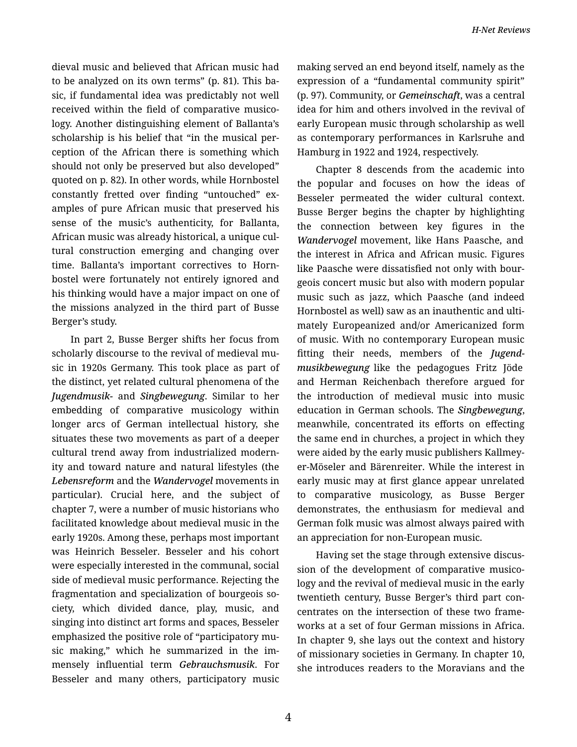dieval music and believed that African music had to be analyzed on its own terms" (p. 81). This ba‐ sic, if fundamental idea was predictably not well received within the field of comparative musico‐ logy. Another distinguishing element of Ballanta's scholarship is his belief that "in the musical per‐ ception of the African there is something which should not only be preserved but also developed" quoted on p. 82). In other words, while Hornbostel constantly fretted over finding "untouched" ex‐ amples of pure African music that preserved his sense of the music's authenticity, for Ballanta, African music was already historical, a unique cul‐ tural construction emerging and changing over time. Ballanta's important correctives to Horn‐ bostel were fortunately not entirely ignored and his thinking would have a major impact on one of the missions analyzed in the third part of Busse Berger's study.

In part 2, Busse Berger shifts her focus from scholarly discourse to the revival of medieval mu‐ sic in 1920s Germany. This took place as part of the distinct, yet related cultural phenomena of the *Jugendmusik-* and *Singbewegung*. Similar to her embedding of comparative musicology within longer arcs of German intellectual history, she situates these two movements as part of a deeper cultural trend away from industrialized modern‐ ity and toward nature and natural lifestyles (the *Lebensreform* and the *Wandervogel* movements in particular). Crucial here, and the subject of chapter 7, were a number of music historians who facilitated knowledge about medieval music in the early 1920s. Among these, perhaps most important was Heinrich Besseler. Besseler and his cohort were especially interested in the communal, social side of medieval music performance. Rejecting the fragmentation and specialization of bourgeois so‐ ciety, which divided dance, play, music, and singing into distinct art forms and spaces, Besseler emphasized the positive role of "participatory mu‐ sic making," which he summarized in the im‐ mensely influential term *Gebrauchsmusik*. For Besseler and many others, participatory music

making served an end beyond itself, namely as the expression of a "fundamental community spirit" (p. 97). Community, or *Gemeinschaft*, was a central idea for him and others involved in the revival of early European music through scholarship as well as contemporary performances in Karlsruhe and Hamburg in 1922 and 1924, respectively.

Chapter 8 descends from the academic into the popular and focuses on how the ideas of Besseler permeated the wider cultural context. Busse Berger begins the chapter by highlighting the connection between key figures in the *Wandervogel* movement, like Hans Paasche, and the interest in Africa and African music. Figures like Paasche were dissatisfied not only with bour‐ geois concert music but also with modern popular music such as jazz, which Paasche (and indeed Hornbostel as well) saw as an inauthentic and ulti‐ mately Europeanized and/or Americanized form of music. With no contemporary European music fitting their needs, members of the *Jugend‐ musikbewegung* like the pedagogues Fritz Jöde and Herman Reichenbach therefore argued for the introduction of medieval music into music education in German schools. The *Singbewegung*, meanwhile, concentrated its efforts on effecting the same end in churches, a project in which they were aided by the early music publishers Kallmey‐ er-Möseler and Bärenreiter. While the interest in early music may at first glance appear unrelated to comparative musicology, as Busse Berger demonstrates, the enthusiasm for medieval and German folk music was almost always paired with an appreciation for non-European music.

Having set the stage through extensive discus‐ sion of the development of comparative musico‐ logy and the revival of medieval music in the early twentieth century, Busse Berger's third part con‐ centrates on the intersection of these two frame‐ works at a set of four German missions in Africa. In chapter 9, she lays out the context and history of missionary societies in Germany. In chapter 10, she introduces readers to the Moravians and the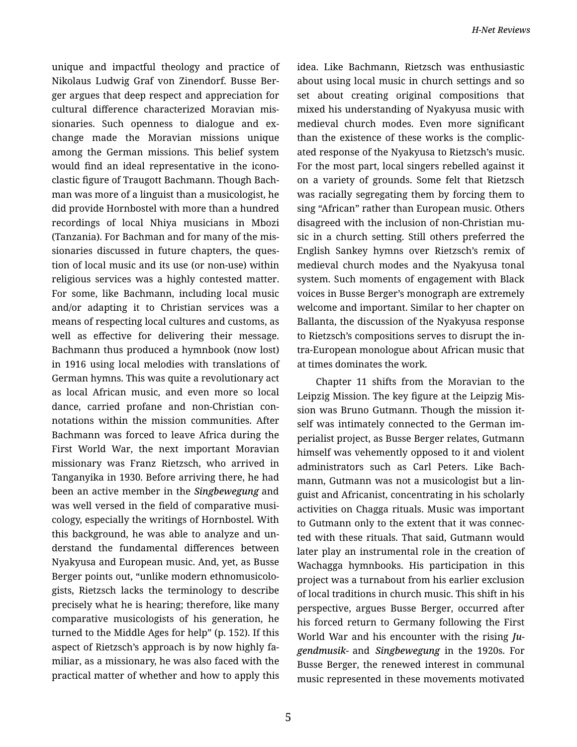unique and impactful theology and practice of Nikolaus Ludwig Graf von Zinendorf. Busse Ber‐ ger argues that deep respect and appreciation for cultural difference characterized Moravian mis‐ sionaries. Such openness to dialogue and ex‐ change made the Moravian missions unique among the German missions. This belief system would find an ideal representative in the icono‐ clastic figure of Traugott Bachmann. Though Bach‐ man was more of a linguist than a musicologist, he did provide Hornbostel with more than a hundred recordings of local Nhiya musicians in Mbozi (Tanzania). For Bachman and for many of the mis‐ sionaries discussed in future chapters, the ques‐ tion of local music and its use (or non-use) within religious services was a highly contested matter. For some, like Bachmann, including local music and/or adapting it to Christian services was a means of respecting local cultures and customs, as well as effective for delivering their message. Bachmann thus produced a hymnbook (now lost) in 1916 using local melodies with translations of German hymns. This was quite a revolutionary act as local African music, and even more so local dance, carried profane and non-Christian con‐ notations within the mission communities. After Bachmann was forced to leave Africa during the First World War, the next important Moravian missionary was Franz Rietzsch, who arrived in Tanganyika in 1930. Before arriving there, he had been an active member in the *Singbewegung* and was well versed in the field of comparative musicology, especially the writings of Hornbostel. With this background, he was able to analyze and un‐ derstand the fundamental differences between Nyakyusa and European music. And, yet, as Busse Berger points out, "unlike modern ethnomusicolo‐ gists, Rietzsch lacks the terminology to describe precisely what he is hearing; therefore, like many comparative musicologists of his generation, he turned to the Middle Ages for help" (p. 152). If this aspect of Rietzsch's approach is by now highly fa‐ miliar, as a missionary, he was also faced with the practical matter of whether and how to apply this

idea. Like Bachmann, Rietzsch was enthusiastic about using local music in church settings and so set about creating original compositions that mixed his understanding of Nyakyusa music with medieval church modes. Even more significant than the existence of these works is the complic‐ ated response of the Nyakyusa to Rietzsch's music. For the most part, local singers rebelled against it on a variety of grounds. Some felt that Rietzsch was racially segregating them by forcing them to sing "African" rather than European music. Others disagreed with the inclusion of non-Christian mu‐ sic in a church setting. Still others preferred the English Sankey hymns over Rietzsch's remix of medieval church modes and the Nyakyusa tonal system. Such moments of engagement with Black voices in Busse Berger's monograph are extremely welcome and important. Similar to her chapter on Ballanta, the discussion of the Nyakyusa response to Rietzsch's compositions serves to disrupt the in‐ tra-European monologue about African music that at times dominates the work.

Chapter 11 shifts from the Moravian to the Leipzig Mission. The key figure at the Leipzig Mis‐ sion was Bruno Gutmann. Though the mission it‐ self was intimately connected to the German im‐ perialist project, as Busse Berger relates, Gutmann himself was vehemently opposed to it and violent administrators such as Carl Peters. Like Bach‐ mann, Gutmann was not a musicologist but a lin‐ guist and Africanist, concentrating in his scholarly activities on Chagga rituals. Music was important to Gutmann only to the extent that it was connec‐ ted with these rituals. That said, Gutmann would later play an instrumental role in the creation of Wachagga hymnbooks. His participation in this project was a turnabout from his earlier exclusion of local traditions in church music. This shift in his perspective, argues Busse Berger, occurred after his forced return to Germany following the First World War and his encounter with the rising *Ju‐ gendmusik-* and *Singbewegung* in the 1920s. For Busse Berger, the renewed interest in communal music represented in these movements motivated

5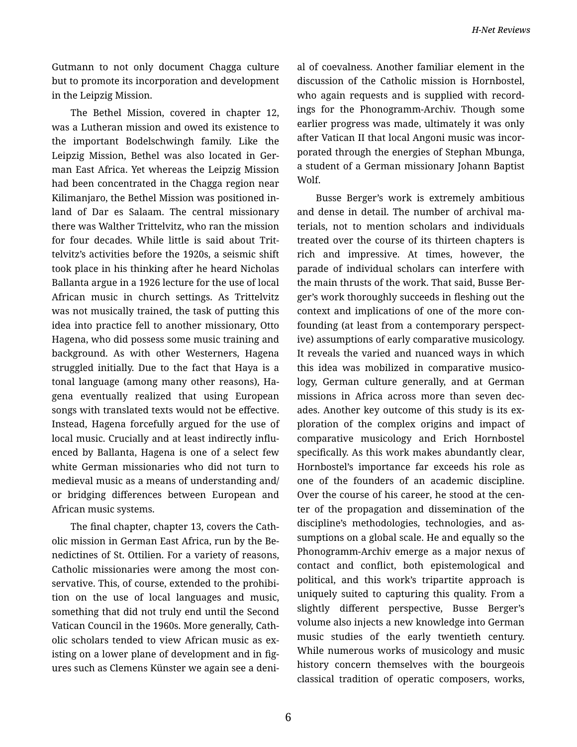Gutmann to not only document Chagga culture but to promote its incorporation and development in the Leipzig Mission.

The Bethel Mission, covered in chapter 12, was a Lutheran mission and owed its existence to the important Bodelschwingh family. Like the Leipzig Mission, Bethel was also located in Ger‐ man East Africa. Yet whereas the Leipzig Mission had been concentrated in the Chagga region near Kilimanjaro, the Bethel Mission was positioned in‐ land of Dar es Salaam. The central missionary there was Walther Trittelvitz, who ran the mission for four decades. While little is said about Trit‐ telvitz's activities before the 1920s, a seismic shift took place in his thinking after he heard Nicholas Ballanta argue in a 1926 lecture for the use of local African music in church settings. As Trittelvitz was not musically trained, the task of putting this idea into practice fell to another missionary, Otto Hagena, who did possess some music training and background. As with other Westerners, Hagena struggled initially. Due to the fact that Haya is a tonal language (among many other reasons), Ha‐ gena eventually realized that using European songs with translated texts would not be effective. Instead, Hagena forcefully argued for the use of local music. Crucially and at least indirectly influ‐ enced by Ballanta, Hagena is one of a select few white German missionaries who did not turn to medieval music as a means of understanding and/ or bridging differences between European and African music systems.

The final chapter, chapter 13, covers the Cath‐ olic mission in German East Africa, run by the Be‐ nedictines of St. Ottilien. For a variety of reasons, Catholic missionaries were among the most con‐ servative. This, of course, extended to the prohibition on the use of local languages and music, something that did not truly end until the Second Vatican Council in the 1960s. More generally, Cath‐ olic scholars tended to view African music as ex‐ isting on a lower plane of development and in figures such as Clemens Künster we again see a deni‐

al of coevalness. Another familiar element in the discussion of the Catholic mission is Hornbostel, who again requests and is supplied with recordings for the Phonogramm-Archiv. Though some earlier progress was made, ultimately it was only after Vatican II that local Angoni music was incor‐ porated through the energies of Stephan Mbunga, a student of a German missionary Johann Baptist Wolf.

Busse Berger's work is extremely ambitious and dense in detail. The number of archival ma‐ terials, not to mention scholars and individuals treated over the course of its thirteen chapters is rich and impressive. At times, however, the parade of individual scholars can interfere with the main thrusts of the work. That said, Busse Ber‐ ger's work thoroughly succeeds in fleshing out the context and implications of one of the more con‐ founding (at least from a contemporary perspect‐ ive) assumptions of early comparative musicology. It reveals the varied and nuanced ways in which this idea was mobilized in comparative musico‐ logy, German culture generally, and at German missions in Africa across more than seven dec‐ ades. Another key outcome of this study is its ex‐ ploration of the complex origins and impact of comparative musicology and Erich Hornbostel specifically. As this work makes abundantly clear, Hornbostel's importance far exceeds his role as one of the founders of an academic discipline. Over the course of his career, he stood at the cen‐ ter of the propagation and dissemination of the discipline's methodologies, technologies, and as‐ sumptions on a global scale. He and equally so the Phonogramm-Archiv emerge as a major nexus of contact and conflict, both epistemological and political, and this work's tripartite approach is uniquely suited to capturing this quality. From a slightly different perspective, Busse Berger's volume also injects a new knowledge into German music studies of the early twentieth century. While numerous works of musicology and music history concern themselves with the bourgeois classical tradition of operatic composers, works,